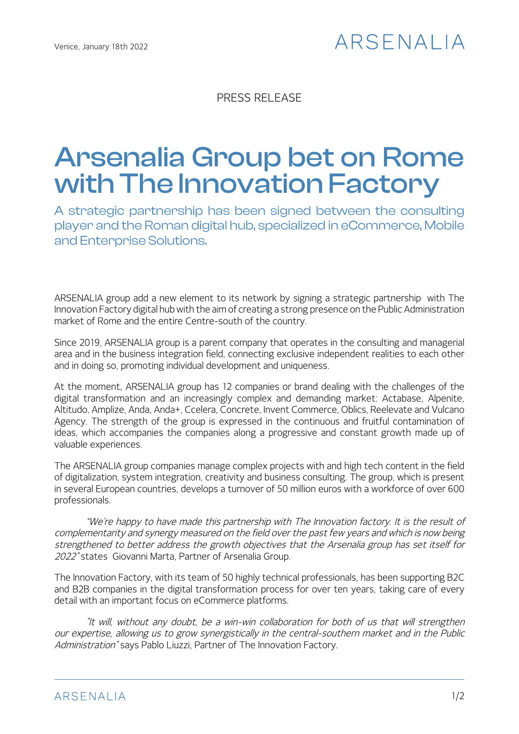## ARSFNAI IA

PRESS RELEASE

# Arsenalia Group bet on Rome with The Innovation Factory

A strategic partnership has been signed between the consulting player and the Roman digital hub, specialized in eCommerce, Mobile and Enterprise Solutions.

ARSENALIA group add a new element to its network by signing a strategic partnership with The Innovation Factory digital hub with the aim of creating a strong presence on the Public Administration market of Rome and the entire Centre-south of the country.

Since 2019, ARSENALIA group is a parent company that operates in the consulting and managerial area and in the business integration field, connecting exclusive independent realities to each other and in doing so, promoting individual development and uniqueness.

At the moment, ARSENALIA group has 12 companies or brand dealing with the challenges of the digital transformation and an increasingly complex and demanding market: Actabase, Alpenite, Altitudo, Amplize, Anda, Anda+, Ccelera, Concrete, Invent Commerce, Oblics, Reelevate and Vulcano Agency. The strength of the group is expressed in the continuous and fruitful contamination of ideas, which accompanies the companies along a progressive and constant growth made up of valuable experiences.

The ARSENALIA group companies manage complex projects with and high tech content in the field of digitalization, system integration, creativity and business consulting. The group, which is present in several European countries, develops a turnover of 50 million euros with a workforce of over 600 professionals.

"We're happy to have made this partnership with The Innovation factory. It is the result of complementarity and synergy measured on the field over the past few years and which is now being strengthened to better address the growth objectives that the Arsenalia group has set itself for 2022" states Giovanni Marta, Partner of Arsenalia Group.

The Innovation Factory, with its team of 50 highly technical professionals, has been supporting B2C and B2B companies in the digital transformation process for over ten years, taking care of every detail with an important focus on eCommerce platforms.

"It will, without any doubt, be a win-win collaboration for both of us that will strengthen our expertise, allowing us to grow synergistically in the central-southern market and in the Public Administration" says Pablo Liuzzi, Partner of The Innovation Factory.